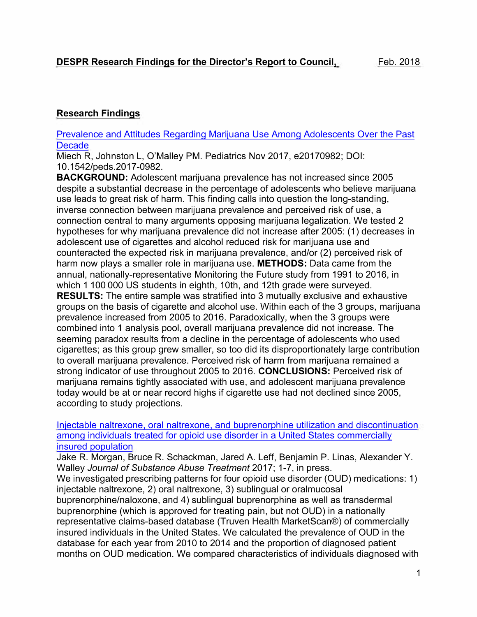# **Research Findings**

#### Prevalence and Attitudes Regarding Marijuana Use Among Adolescents Over the Past **Decade**

Miech R, Johnston L, O'Malley PM. Pediatrics Nov 2017, e20170982; DOI: 10.1542/peds.2017-0982.

**BACKGROUND:** Adolescent marijuana prevalence has not increased since 2005 despite a substantial decrease in the percentage of adolescents who believe marijuana use leads to great risk of harm. This finding calls into question the long-standing, inverse connection between marijuana prevalence and perceived risk of use, a connection central to many arguments opposing marijuana legalization. We tested 2 hypotheses for why marijuana prevalence did not increase after 2005: (1) decreases in adolescent use of cigarettes and alcohol reduced risk for marijuana use and counteracted the expected risk in marijuana prevalence, and/or (2) perceived risk of harm now plays a smaller role in marijuana use. **METHODS:** Data came from the annual, nationally-representative Monitoring the Future study from 1991 to 2016, in which 1 100 000 US students in eighth, 10th, and 12th grade were surveyed. **RESULTS:** The entire sample was stratified into 3 mutually exclusive and exhaustive groups on the basis of cigarette and alcohol use. Within each of the 3 groups, marijuana prevalence increased from 2005 to 2016. Paradoxically, when the 3 groups were combined into 1 analysis pool, overall marijuana prevalence did not increase. The seeming paradox results from a decline in the percentage of adolescents who used cigarettes; as this group grew smaller, so too did its disproportionately large contribution to overall marijuana prevalence. Perceived risk of harm from marijuana remained a strong indicator of use throughout 2005 to 2016. **CONCLUSIONS:** Perceived risk of marijuana remains tightly associated with use, and adolescent marijuana prevalence today would be at or near record highs if cigarette use had not declined since 2005, according to study projections.

Injectable naltrexone, oral naltrexone, and buprenorphine utilization and discontinuation among individuals treated for opioid use disorder in a United States commercially insured population

Jake R. Morgan, Bruce R. Schackman, Jared A. Leff, Benjamin P. Linas, Alexander Y. Walley *Journal of Substance Abuse Treatment* 2017; 1-7, in press.

We investigated prescribing patterns for four opioid use disorder (OUD) medications: 1) injectable naltrexone, 2) oral naltrexone, 3) sublingual or oralmucosal buprenorphine/naloxone, and 4) sublingual buprenorphine as well as transdermal buprenorphine (which is approved for treating pain, but not OUD) in a nationally representative claims-based database (Truven Health MarketScan®) of commercially insured individuals in the United States. We calculated the prevalence of OUD in the database for each year from 2010 to 2014 and the proportion of diagnosed patient months on OUD medication. We compared characteristics of individuals diagnosed with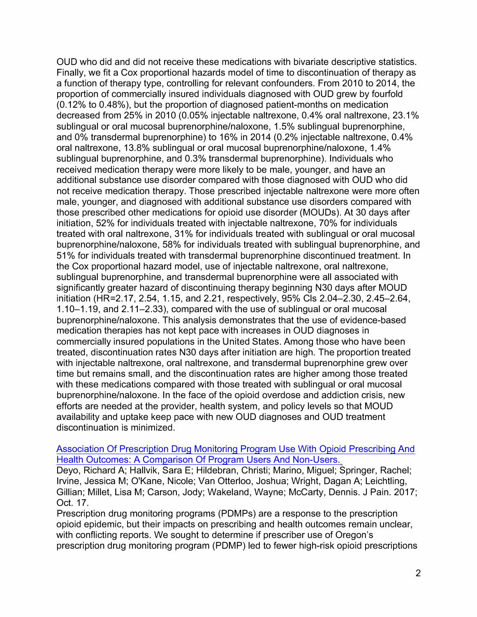**OUD who did and did not receive these medications with bivariate descriptive statistics. Finally, we fit a Cox proportional hazards model of time to discontinuation of therapy as a function of therapy type, controlling for relevant confounders. From 2010 to 2014, the proportion of commercially insured individuals diagnosed with OUD grew by fourfold (0.12% to 0.48% ), but the proportion of diagnosed patient-months on medication decreased from 25% in 2010 (0.05% injectable naltrexone, 0.4% oral naltrexone, 23.1 % sublingual or oral mucosal buprenorphine/naloxone, 1.5% sublingual buprenorphine, and 0% transdermal buprenorphine) to 16% in 2014 (0.2% injectable naltrexone, 0.4% oral naltrexone, 13.8% sublingual or oral mucosal buprenorphine/naloxone, 1.4% sublingual buprenorphine, and 0.3% transdermal buprenorphine). Individuals who received medication therapy were more likely to be male, younger, and have an additional substance use disorder compared with those diagnosed with OUD who did not receive medication therapy. Those prescribed injectable naltrexone were more often male, younger, and diagnosed with additional substance use disorders compared with those prescribed other medications for opioid use disorder (MOUDs). At 30 days after initiation, 52% for individuals treated with injectable naltrexone, 70% for individuals treated with oral naltrexone, 31 % for individuals treated with sublingual or oral mucosal buprenorphine/naloxone, 58% for individuals treated with sublingual buprenorphine, and 51 % for individuals treated with transdermal buprenorphine discontinued treatment. In the Cox proportional hazard model, use of injectable naltrexone, oral naltrexone, sublingual buprenorphine, and transdermal buprenorphine were all associated with significantly greater hazard of discontinuing therapy beginning N30 days after MOUD initiation (HR=2.17, 2.54, 1.15, and 2.21, respectively, 95% Cls 2.04-2.30, 2.45-2.64, 1.10-1.19, and 2.11-2.33), compared with the use of sublingual or oral mucosal buprenorphine/naloxone. This analysis demonstrates that the use of evidence-based medication therapies has not kept pace with increases in OUD diagnoses in commercially insured populations in the United States. Among those who have been treated, discontinuation rates N30 days after initiation are high. The proportion treated with injectable naltrexone, oral naltrexone, and transdermal buprenorphine grew over time but remains small, and the discontinuation rates are higher among those treated with these medications compared with those treated with sublingual or oral mucosal buprenorphine/naloxone. In the face of the opioid overdose and addiction crisis, new efforts are needed at the provider, health system, and policy levels so that MOUD availability and uptake keep pace with new OUD diagnoses and OUD treatment discontinuation is minimized.** 

#### **Association Of Prescription Drug Monitoring Program Use With Opioid Prescribing And Health Outcomes: A Comparison Of Program Users And Non-Users.**

**Deyo, Richard A; Hallvik, Sara E; Hildebran, Christi; Marino, Miguel; Springer, Rachel; Irvine, Jessica M; O'Kane, Nicole; Van Otterloo, Joshua; Wright, Dagan A; Leichtling, Gillian; Millet, Lisa M; Carson, Jody; Wakeland, Wayne; McCarty, Dennis. J Pain. 2017; Oct. 17.** 

**Prescription drug monitoring programs (PDMPs) are a response to the prescription opioid epidemic, but their impacts on prescribing and health outcomes remain unclear, with conflicting reports. We sought to determine if prescriber use of Oregon's prescription drug monitoring program (POMP) led to fewer high-risk opioid prescriptions**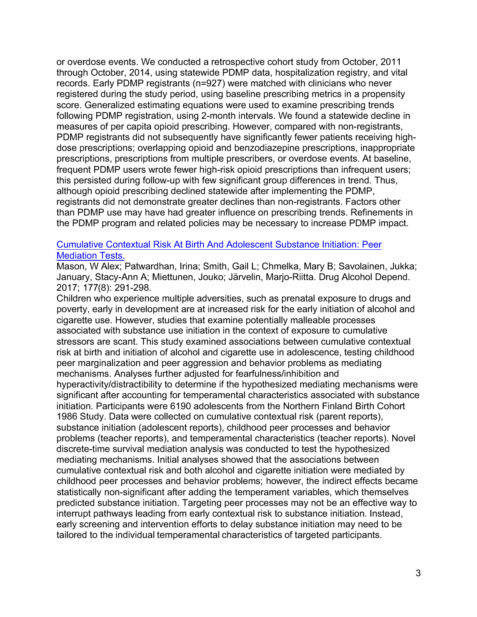**or overdose events. We conducted a retrospective cohort study from October, 2011 through October, 2014, using statewide POMP data, hospitalization registry, and vital records. Early POMP registrants (n**=**927) were matched with clinicians who never registered during the study period, using baseline prescribing metrics in a propensity score. Generalized estimating equations were used to examine prescribing trends following POMP registration, using 2-month intervals. We found a statewide decline in measures of per capita opioid prescribing. However, compared with non-registrants, POMP registrants did not subsequently have significantly fewer patients receiving highdose prescriptions; overlapping opioid and benzodiazepine prescriptions, inappropriate prescriptions, prescriptions from multiple prescribers, or overdose events. At baseline, frequent POMP users wrote fewer high-risk opioid prescriptions than infrequent users; this persisted during follow-up with few significant group differences in trend. Thus, although opioid prescribing declined statewide after implementing the POMP, registrants did not demonstrate greater declines than non-registrants. Factors other than POMP use may have had greater influence on prescribing trends. Refinements in the POMP program and related policies may be necessary to increase POMP impact.** 

### **Cumulative Contextual Risk At Birth And Adolescent Substance Initiation: Peer Mediation Tests.**

**Mason, W Alex; Patwardhan, Irina; Smith, Gail L; Chmelka, Mary B; Savolainen, Jukka;**  January, Stacy-Ann A; Miettunen, Jouko; Järvelin, Marjo-Riitta. Drug Alcohol Depend. **2017; 177(8): 291-298.** 

**Children who experience multiple adversities, such as prenatal exposure to drugs and poverty, early in development are at increased risk for the early initiation of alcohol and cigarette use. However, studies that examine potentially malleable processes associated with substance use initiation in the context of exposure to cumulative stressors are scant. This study examined associations between cumulative contextual risk at birth and initiation of alcohol and cigarette use in adolescence, testing childhood peer marginalization and peer aggression and behavior problems as mediating mechanisms. Analyses further adjusted for fearfulness/inhibition and hyperactivity/distractibility to determine if the hypothesized mediating mechanisms were significant after accounting for temperamental characteristics associated with substance initiation. Participants were 6190 adolescents from the Northern Finland Birth Cohort 1986 Study. Data were collected on cumulative contextual risk (parent reports), substance initiation (adolescent reports), childhood peer processes and behavior problems (teacher reports), and temperamental characteristics (teacher reports). Novel discrete-time survival mediation analysis was conducted to test the hypothesized mediating mechanisms. Initial analyses showed that the associations between cumulative contextual risk and both alcohol and cigarette initiation were mediated by childhood peer processes and behavior problems; however, the indirect effects became statistically non-significant after adding the temperament variables, which themselves predicted substance initiation. Targeting peer processes may not be an effective way to interrupt pathways leading from early contextual risk to substance initiation. Instead, early screening and intervention efforts to delay substance initiation may need to be tailored to the individual temperamental characteristics of targeted participants.**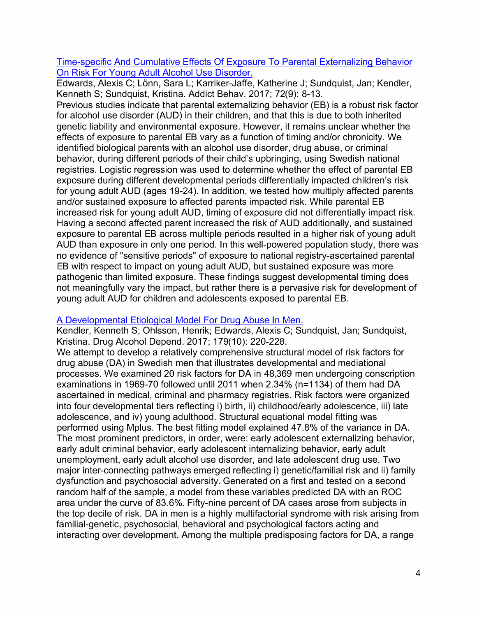**Time-specific And Cumulative Effects Of Exposure To Parental Externalizing Behavior On Risk For Young Adult Alcohol Use Disorder.** 

Edwards, Alexis C; Lönn, Sara L; Karriker-Jaffe, Katherine J; Sundquist, Jan; Kendler, **Kenneth S; Sundquist, Kristina. Addict Behav. 2017; 72(9): 8-13.** 

**Previous studies indicate that parental externalizing behavior (EB) is a robust risk factor for alcohol use disorder (AUD) in their children, and that this is due to both inherited genetic liability and environmental exposure. However, it remains unclear whether the effects of exposure to parental EB vary as a function of timing and/or chronicity. We identified biological parents with an alcohol use disorder, drug abuse, or criminal behavior, during different periods of their child's upbringing, using Swedish national registries. Logistic regression was used to determine whether the effect of parental EB exposure during different developmental periods differentially impacted children's risk for young adult AUD (ages 19-24). In addition, we tested how multiply affected parents and/or sustained exposure to affected parents impacted risk. While parental EB increased risk for young adult AUD, timing of exposure did not differentially impact risk. Having a second affected parent increased the risk of AUD additionally, and sustained exposure to parental EB across multiple periods resulted in a higher risk of young adult AUD than exposure in only one period. In this well-powered population study, there was no evidence of "sensitive periods" of exposure to national registry-ascertained parental EB with respect to impact on young adult AUD, but sustained exposure was more pathogenic than limited exposure. These findings suggest developmental timing does not meaningfully vary the impact, but rather there is a pervasive risk for development of young adult AUD for children and adolescents exposed to parental EB.** 

### **A Developmental Etiological Model For Drug Abuse In Men.**

**Kendler, Kenneth S; Ohlsson, Henrik; Edwards, Alexis C; Sundquist, Jan; Sundquist, Kristina. Drug Alcohol Depend. 2017; 179(10): 220-228.** 

**We attempt to develop a relatively comprehensive structural model of risk factors for drug abuse (DA) in Swedish men that illustrates developmental and mediational processes. We examined 20 risk factors for DA in 48,369 men undergoing conscription examinations in 1969-70 followed until 2011 when 2.34% (n**=**1134) of them had DA ascertained in medical, criminal and pharmacy registries. Risk factors were organized into four developmental tiers reflecting i) birth, ii) childhood/early adolescence, iii) late adolescence, and iv) young adulthood. Structural equational model fitting was performed using Mplus. The best fitting model explained 47.8% of the variance in DA. The most prominent predictors, in order, were: early adolescent externalizing behavior, early adult criminal behavior, early adolescent internalizing behavior, early adult unemployment, early adult alcohol use disorder, and late adolescent drug use. Two major inter-connecting pathways emerged reflecting i) genetic/familial risk and ii) family dysfunction and psychosocial adversity. Generated on a first and tested on a second random half of the sample, a model from these variables predicted DA with an ROC area under the curve of 83.6%. Fifty-nine percent of DA cases arose from subjects in the top decile of risk. DA in men is a highly multifactorial syndrome with risk arising from familial-genetic, psychosocial, behavioral and psychological factors acting and interacting over development. Among the multiple predisposing factors for DA, a range**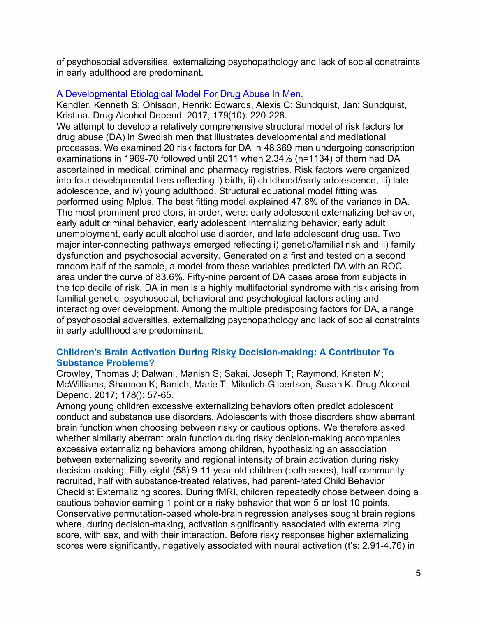**of psychosocial adversities, externalizing psychopathology and lack of social constraints in early adulthood are predominant.** 

## **A Developmental Etiological Model For Drug Abuse In Men.**

**Kendler, Kenneth S; Ohlsson, Henrik; Edwards, Alexis C; Sundquist, Jan; Sundquist, Kristina. Drug Alcohol Depend. 2017; 179(10): 220-228.** 

**We attempt to develop a relatively comprehensive structural model of risk factors for drug abuse (DA) in Swedish men that illustrates developmental and mediational processes. We examined 20 risk factors for DA in 48,369 men undergoing conscription examinations in 1969-70 followed until 2011 when 2.34% (n**=**1134) of them had DA ascertained in medical, criminal and pharmacy registries. Risk factors were organized into four developmental tiers reflecting i) birth, ii) childhood/early adolescence, iii) late adolescence, and iv) young adulthood. Structural equational model fitting was performed using Mplus. The best fitting model explained 47.8% of the variance in DA. The most prominent predictors, in order, were: early adolescent externalizing behavior, early adult criminal behavior, early adolescent internalizing behavior, early adult unemployment, early adult alcohol use disorder, and late adolescent drug use. Two major inter-connecting pathways emerged reflecting i) genetic/familial risk and ii) family dysfunction and psychosocial adversity. Generated on a first and tested on a second random half of the sample, a model from these variables predicted DA with an ROC area under the curve of 83.6%. Fifty-nine percent of DA cases arose from subjects in the top decile of risk. DA in men is a highly multifactorial syndrome with risk arising from familial-genetic, psychosocial, behavioral and psychological factors acting and interacting over development. Among the multiple predisposing factors for DA, a range of psychosocial adversities, externalizing psychopathology and lack of social constraints in early adulthood are predominant.** 

## **Children's Brain Activation During Risky Decision-making: A Contributor To Substance Problems?**

**Crowley, Thomas J; Dalwani, Manish S; Sakai, Joseph T; Raymond, Kristen M; McWilliams, Shannon K; Banich, Marie T; Mikulich-Gilbertson, Susan K. Drug Alcohol Depend. 2017; 178(): 57-65.** 

**Among young children excessive externalizing behaviors often predict adolescent conduct and substance use disorders. Adolescents with those disorders show aberrant brain function when choosing between risky or cautious options. We therefore asked whether similarly aberrant brain function during risky decision-making accompanies excessive externalizing behaviors among children, hypothesizing an association between externalizing severity and regional intensity of brain activation during risky decision-making. Fifty-eight (58) 9-11 year-old children (both sexes), half communityrecruited, half with substance-treated relatives, had parent-rated Child Behavior Checklist Externalizing scores. During fMRI, children repeatedly chose between doing a cautious behavior earning 1 point or a risky behavior that won 5 or lost 10 points. Conservative permutation-based whole-brain regression analyses sought brain regions where, during decision-making, activation significantly associated with externalizing score, with sex, and with their interaction. Before risky responses higher externalizing scores were significantly, negatively associated with neural activation (t's: 2.91-4.76) in**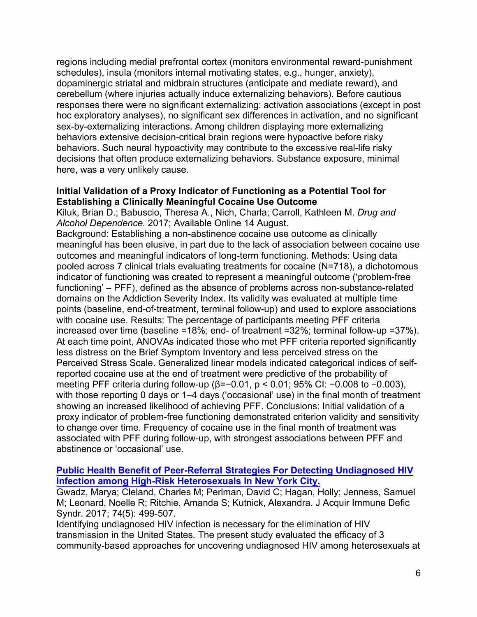**regions including medial prefrontal cortex (monitors environmental reward-punishment schedules), insula (monitors internal motivating states, e.g., hunger, anxiety), dopaminergic striatal and midbrain structures (anticipate and mediate reward), and cerebellum (where injuries actually induce externalizing behaviors). Before cautious responses there were no significant externalizing: activation associations (except in post hoc exploratory analyses), no significant sex di***ff***erences in activation, and no significant sex-by-externalizing interactions. Among children displaying more externalizing behaviors extensive decision-critical brain regions were hypoactive before risky behaviors. Such neural hypoactivity may contribute to the excessive real-life risky decisions that o***ft***en produce externalizing behaviors. Substance exposure, minimal here, was a very unlikely cause.** 

#### **Initial Validation of a Proxy Indicator of Functioning as a Potential Tool for Establishing a Clinically Meaningful Cocaine Use Outcome**

**Kiluk, Brian D.; Babuscio, Theresa A., Nich, Charla; Carroll, Kathleen M.** *Drug and Alcohol Dependence.* **2017; Available Online 14 August.** 

**Background: Establishing a non-abstinence cocaine use outcome as clinically meaningful has been elusive, in part due to the lack of association between cocaine use outcomes and meaningful indicators of long-term functioning. Methods: Using data pooled across 7 clinical trials evaluating treatments for cocaine (N=718), a dichotomous indicator of functioning was created to represent a meaningful outcome ('problem-free functioning' - PFF), defined as the absence of problems across non-substance-related domains on the Addiction Severity Index. Its validity was evaluated at multiple time points (baseline, end-of-treatment, terminal follow-up) and used to explore associations with cocaine use. Results: The percentage of participants meeting PFF criteria increased over time (baseline =18%; end- of treatment =32%; terminal follow-up =37%). At each time point, ANOVAs indicated those who met PFF criteria reported significantly less distress on the Brief Symptom Inventory and less perceived stress on the Perceived Stress Scale. Generalized linear models indicated categorical indices of selfreported cocaine use at the end of treatment were predictive of the probability of**  meeting PFF criteria during follow-up ( $β=-0.01$ ,  $p < 0.01$ ; 95% CI:  $-0.008$  to  $-0.003$ ), with those reporting 0 days or 1–4 days ('occasional' use) in the final month of treatment **showing an increased likelihood of achieving PFF. Conclusions: Initial validation of a proxy indicator of problem-free functioning demonstrated criterion validity and sensitivity to change over time.** *F***re***q***uency of cocaine use in the final month of treatment was associated with PFF during follow-up, with strongest associations between PFF and abstinence or 'occasional' use.** 

### **Public Health Benefit of Peer-Referral Strategies For Detecting Undiagnosed HIV Infection among High-Risk Heterosexuals In New York City.**

**Gwadz, Marya; Cleland, Charles M; Perlman, David C;** *H***agan,** *H***olly;** *J***enness, Samuel M;** *L***eonard, Noelle R; Ritchie, Amanda S; Kutnick, Alexandra.** *J* **Ac***q***uir Immune Defic Syndr. 2017; 74(5): 499-507.** 

**Identifying undiagnosed** *H***IV infection is necessary for the elimination of** *H***IV transmission in the United States. The present study evaluated the e***ff***icacy of 3 community-based approaches for uncovering undiagnosed** *H***IV among heterosexuals at**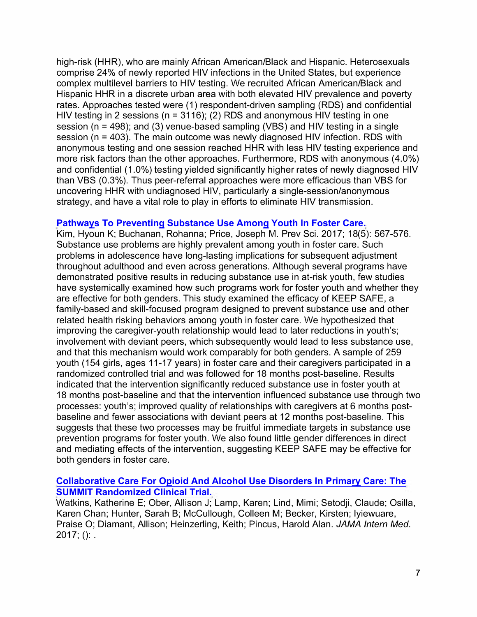**high-risk (HHR), who are mainly African American/Black and Hispanic. Heterosexuals comprise 24% of newly reported HIV infections in the United States, but experience complex multilevel barriers to HIV testing. We recruited African American/Black and Hispanic HHR in a discrete urban area with both elevated HIV prevalence and poverty rates. Approaches tested were (1) respondent-driven sampling (RDS) and confidential HIV testing in 2 sessions (n = 3116); (2) RDS and anonymous HIV testing in one session (n = 498); and (3) venue-based sampling (VBS) and HIV testing in a single session (n = 403). The main outcome was newly diagnosed HIV infection. RDS with anonymous testing and one session reached HHR with less HIV testing experience and more risk factors than the other approaches. Furthermore, RDS with anonymous (4.0%) and confidential (1.0%) testing yielded significantly higher rates of newly diagnosed HIV than VBS (0.3%). Thus peer-referral approaches were more efficacious than VBS for uncovering HHR with undiagnosed HIV, particularly a single-session/anonymous strategy, and have a vital role to play in efforts to eliminate HIV transmission.** 

### **Pathways To Preventing Substance Use Among Youth In Foster Care.**

**Kim, Hyoun K; Buchanan, Rohanna; Price, Joseph M. Prev Sci. 2017; 18(5): 567-576. Substance use problems are highly prevalent among youth in foster care. Such problems in adolescence have long-lasting implications for subsequent adjustment throughout adulthood and even across generations. Although several programs have**  demonstrated positive results in reducing substance use in at-risk youth, few studies have systemically examined how such programs work for foster youth and whether they **are effective for both genders. This study examined the efficacy of KEEP SAFE, a**  family-based and skill-focused program designed to prevent substance use and other related health risking behaviors among youth in foster care. We hypothesized that improving the caregiver-youth relationship would lead to later reductions in youth's; involvement with deviant peers, which subsequently would lead to less substance use, and that this mechanism would work comparably for both genders. A sample of 259 youth (154 girls, ages 11-17 years) in foster care and their caregivers participated in a randomized controlled trial and was followed for 18 months post-baseline. Results indicated that the intervention significantly reduced substance use in foster youth at 18 months post-baseline and that the intervention influenced substance use through two processes: youth's; improved quality of relationships with caregivers at 6 months postbaseline and fewer associations with deviant peers at 12 months post-baseline. This suggests that these two processes may be fruitful immediate targets in substance use **prevention programs f***o***r foster youth. We also found little gender differences in direct**  and mediating effects of the intervention, suggesting KEEP SAFE may be effective for **both genders in foster care.** 

### **Collaborative Care For Opioid And Alcohol Use Disorders In Primary Care: The SUMMIT Randomized Clinical Trial.**

Watkins, Katherine E; Ober, Allison J; Lamp, Karen; Lind, Mimi; Setodji, Claude; Osilla, Karen Chan; Hunter, Sarah B; McCullough, Colleen M; Becker, Kirsten; Iyiewuare, Praise O; Diamant, Allison; Heinzerling, Keith; Pincus, Harold Alan. JAMA Intern Med. **2017; (): .**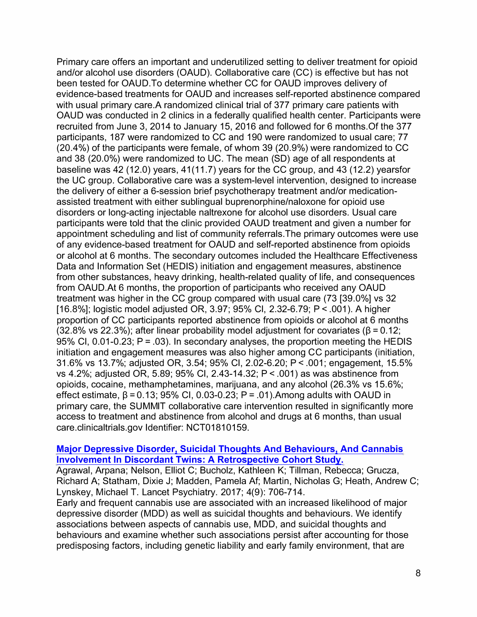**Primary care offers an important and underutilized setting to deliver treatment for opioid and/or alcohol use disorders (OAUD). Collaborative care (CC) is effective but has not been tested for GAUD.To determine whether CC for OAUD improves delivery of evidence-based treatments for OAUD and increases self-reported abstinence compared**  with usual primary care. A randomized clinical trial of 377 primary care patients with **OAUD was conducted in 2 clinics in a federally qualified health center. Participants were recruited from June 3, 2014 to January 15, 2016 and followed for 6 months.Of the 377 participants, 187 were randomized to CC and 190 were randomized to usual care; 77 (20.4%) of the participants were female, of whom 39 (20.9%) were randomized to CC and 38 (20.0%) were randomized to UC. The mean (SD) age of all respondents at baseline was 42 (12.0) years, 41 (11.7) years for the CC group, and 43 (12.2) yearsfor the UC group. Collaborative care was a system-level intervention, designed to increase the delivery of either a 6-session brief psychotherapy treatment and/or medicationassisted treatment with either sublingual buprenorphine/naloxone for opioid use disorders or long-acting injectable naltrexone for alcohol use disorders. Usual care participants were told that the clinic provided OAUD treatment and given a number for appointment scheduling and list of community referrals.The primary outcomes were use of any evidence-based treatment for OAUD and self-reported abstinence from opioids or alcohol at 6 months. The secondary outcomes included the Healthcare Effectiveness Data and Information Set (HEDIS) initiation and engagement measures, abstinence from other substances, heavy drinking, health-related quality of life, and consequences from GAUD.At 6 months, the proportion of participants who received any OAUD treatment was higher in the CC group compared with usual care (73 [39.0%] vs 32 [16.8%]; logistic model adjusted OR, 3.97; 95% Cl, 2.32-6.79; P < .001 ). A higher proportion of CC participants reported abstinence from opioids or alcohol at 6 months**   $(32.8\% \text{ vs } 22.3\%)$ ; after linear probability model adjustment for covariates  $(β = 0.12;$ **95% Cl, 0.01-0.23; P = .03). In secondary analyses, the proportion meeting the HEDIS initiation and engagement measures was also higher among CC participants (initiation, 31.6% vs 13.7%; adjusted OR, 3.54; 95% Cl, 2.02-6.20; P < .001; engagement, 15.5% vs 4.2%; adjusted OR, 5.89; 95% Cl, 2.43-14.32; P < .001) as was abstinence from opioids, cocaine, methamphetamines, marijuana, and any alcohol (26.3% vs 15.6%; effect estimate, = 0.13; 95% Cl, 0.03-0.23; P = .01 ).Among adults with OAUD in primary care, the SUMMIT collaborative care intervention resulted in significantly more access to treatment and abstinence from alcohol and drugs at 6 months, than usual care.clinicaltrials.gov Identifier: NCT01810159.** 

#### **Major Depressive Disorder, Suicidal Thoughts And Behaviours, And Cannabis Involvement In Discordant Twins: A Retrospective Cohort Study.**

**Agrawal, Arpana; Nelson, Elliot C; Bucholz, Kathleen K; Tillman, Rebecca; Grucza, Richard A; Statham, Dixie J; Madden, Pamela At; Martin, Nicholas G; Heath, Andrew C; Lynskey, Michael T. Lancet Psychiatry. 2017; 4(9): 706-714.** 

**Early and frequent cannabis use are associated with an increased likelihood of major depressive disorder (MOD) as well as suicidal thoughts and behaviours. We identify associations between aspects of cannabis use, MOD, and suicidal thoughts and behaviours and examine whether such associations persist after accounting for those predisposing factors, including genetic liability and early family environment, that are**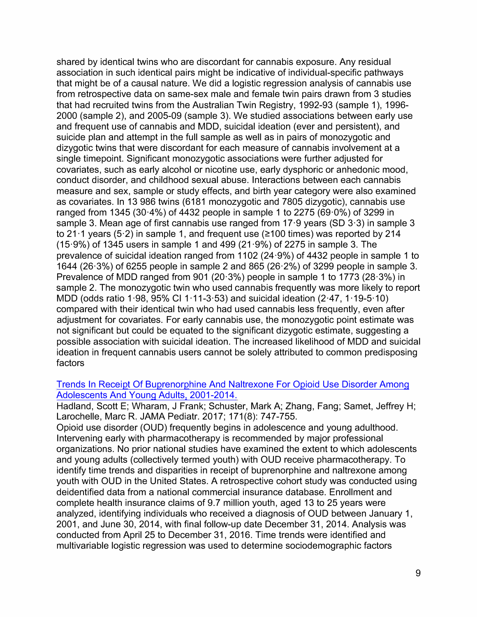**shared by identical twins who are discordant for cannabis exposure. Any residual association in such identical pairs might be indicative of individual-specific pathways that might be of a causal nature. We did a logistic regression analysis of cannabis use from retrospective data on same-sex male and female twin pairs drawn from 3 studies that had recruited twins from the Australian Twin Registry, 1992-93 (sample 1 ), 1996- 2000 (sample 2), and 2005-09 (sample 3). We studied associations between early use and frequent use of cannabis and MOD, suicidal ideation (ever and persistent), and suicide plan and attempt in the full sample as well as in pairs of monozygotic and dizygotic twins that were discordant for each measure of cannabis involvement at a single timepoint. Significant monozygotic associations were further adjusted for covariates, such as early alcohol or nicotine use, early dysphoric or anhedonic mood, conduct disorder, and childhood sexual abuse.** *I***nteractions between each cannabis measure and sex, sample or study effects, and birth year category were also examined as covariates.** *I***n 13 9***8***6 twins (61***8***1 monozygotic and** *78***05 dizygotic), cannabis use ranged from 13***4***5 (30·***4%***) of** *44***32 people in sample 1 to 22***7***5 (69·0***%***) of 3299 in sample 3. Mean age of first cannabis use ranged from 1***7***·9 years (SD 3·3) in sample 3**  to 21 $\cdot$ 1 years (5 $\cdot$ 2) in sample 1, and frequent use ( $\ge$ 100 times) was reported by 214 **(15·9***%***) of 13***4***5 users in sample 1 and** *4***99 (21 ·9***%***) of 22***7***5 in sample 3. The prevalence of suicidal ideation ranged from 1102 (2***4***·9***%***) of** *44***32 people in sample 1 to 16***44* **(26·3***%***) of 6255 people in sample 2 and** *8***65 (26·2***%***) of 3299 people in sample 3.**  *P***revalence of MOD ranged from 901 (20·3***%***) people in sample 1 to 1***77***3 (2***8***·3***%***) in sample 2. The monozygotic twin who used cannabis frequently was more li***k***ely to report MOD (odds ratio 1 ·9***8***, 95***% C***l 1 ·11-3·53) and suicidal ideation (2·***47***, 1 ·19-5·10) compared with their identical twin who had used cannabis less frequently, even af***t***er adjustment for covariates.** *F***or early cannabis use, the monozygotic point estimate was not significant but could be equated to the significant dizygotic estimate, suggesting a possible association with suicidal ideation. The increased li***k***elihood of MOD and suicidal ideation in frequent cannabis users cannot be solely attributed to common predisposing factors** 

#### **Trends** *I***n Recei***pt O***f** *B***u***p***renor***p***hine And** *N***altrexone** *F***or** *Op***ioid** *U***se Disorder Amon***g*  **Adolescents And** *Y***oun***g* **Adults, 2001-201***4***.**

*H***adland, Scott** *E;* **Wharam,** *J F***ran***k;* **Schuster, Mar***k* **A***;* **Zhang,** *F***ang***;* **Samet,** *J***effrey** *H; L***arochelle, Marc R.** *J***AMA** *P***ediatr. 201***7;* **1***7***1(***8***)***: 747***-***7***55.** 

*O***pioid use disorder (***OU***D) frequently begins in adolescence and young adulthood.**  *I***ntervening early with pharmacotherapy is recommended by major professional organizations.** *N***o prior national studies have examined the extent to which adolescents and young adults (collectively termed youth) with** *OU***D receive pharmacotherapy. To identify time trends and disparities in receipt of buprenorphine and naltrexone among youth with** *OU***D in the** *U***nited States. A retrospective cohort study was conducted using deidentified data from a national commercial insurance database.** *E***nrollment and complete health insurance claims of 9.***7* **million youth, aged 13 to 25 years were analyzed, identifying individuals who received a diagnosis of** *OU***D between** *J***anuary 1, 2001, and** *J***une 30, 201***4***, with final follow-up date December 31, 201***4***. Analysis was conducted from April 25 to December 31, 2016. Time trends were identified and multivariable logistic regression was used to determine sociodemographic factors**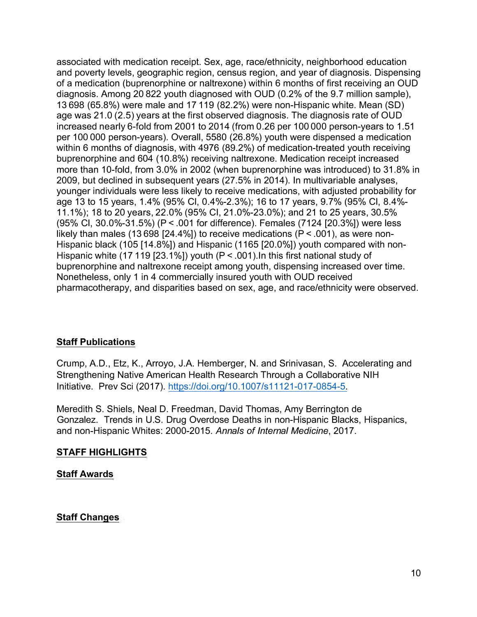**associated with medication receipt. Sex, age, race/ethnicity, neighborhood education and poverty levels, geographic region, census region, and year of diagnosis. Dispensing of a medication (buprenorphine or naltrexone) within 6 months of first receiving an OUD diagnosis. Among 20 822 youth diagnosed with OUD (0.2% of the 9.7 million sample), 13 698 (65.8%) were male and 17 119 (82.2%) were non-Hispanic white. Mean (SD) age was 21.0 (2.5) years at the first observed diagnosis. The diagnosis rate of OUD increased nearly 6-fold from 2001 to 2014 (from 0.26 per 100 000 person-years to 1.51 per 100 000 person-years). Overall, 5580 (26.8%) youth were dispensed a medication within 6 months of diagnosis, with 4976 (89.2%) of medication-treated youth receiving buprenorphine and 604 (10.8%) receiving naltrexone. Medication receipt increased more than 10-fold, from 3.0% in 2002 (when buprenorphine was introduced) to 31.8% in 2009, but declined in subsequent years (27.5% in 2014). In multivariable analyses, younger individuals were less likely to receive medications, with adjusted probability for age 13 to 15 years, 1.4% (95% Cl, 0.4%-2.3%); 16 to 17 years, 9.7% (95% Cl, 8.4% 11.1%); 18 to 20 years, 22.0% (95% Cl, 21.0%-23.0%); and 21 to 25 years, 30.5% (95% Cl, 30.0%-31.5%) (P < .001 for difference). Females (7124 [20.3%]) were less likely than males (13 698 [24.4%]) to receive medications (P < .001 ), as were non-Hispanic black (105 [14.8%]) and Hispanic (1165 [20.0%]) youth compared with non-Hispanic white (17 119 [23.1 %]) youth (P < .001 ).In this first national study of buprenorphine and naltrexone receipt among youth, dispensing increased over time. Nonetheless, only 1 in 4 commercially insured youth with OUD received pharmacotherapy, and disparities based on sex, age, and race/ethnicity were observed.** 

# **Staff Publications**

**Crump, A.D., Etz, K., Arroyo, J.A. Hemberger, N. and Srinivasan, S. Accelerating and Strengthening Native American Health Research Through a Collaborative NIH Initiative. Prev Sci (2017). https://doi.org/10.1007/s11121-017-0854-5.** 

**Meredith S. Shiels, Neal D. Freedman, David Thomas, Amy Berrington de Gonzalez. Trends in U.S. Drug Overdose Deaths in non-Hispanic Blacks, Hispanics, and non-Hispanic Whites: 2000-2015.** *Annals of Internal Medicine,* **2017.** 

# **STAFF HIGHLIGHTS**

### **Staff Awards**

### **Staff Changes**